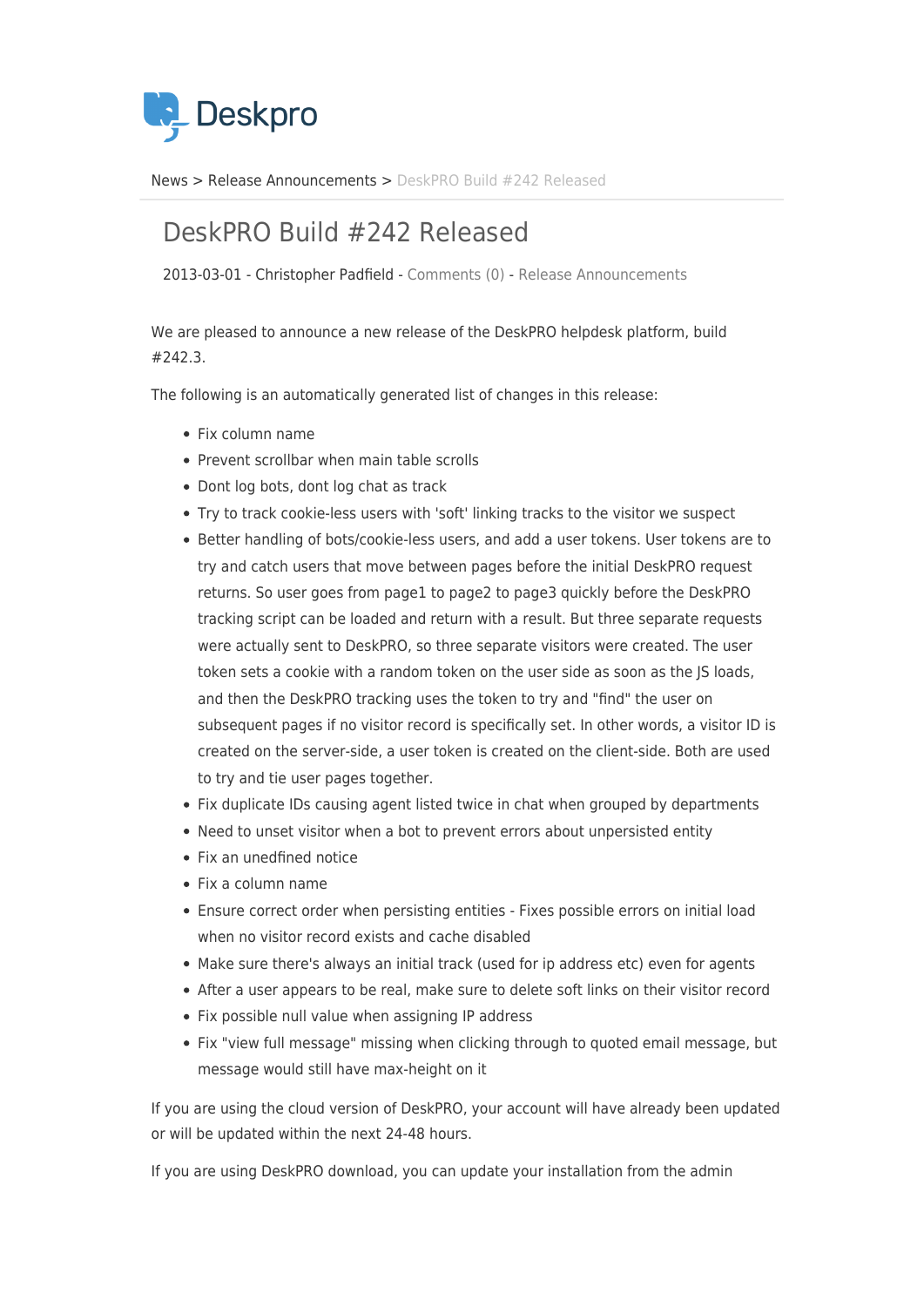

[News](https://support.deskpro.com/da/news) > [Release Announcements](https://support.deskpro.com/da/news/release-announcements) > [DeskPRO Build #242 Released](https://support.deskpro.com/da/news/posts/deskpro-build-242-released-2)

## DeskPRO Build #242 Released

2013-03-01 - Christopher Padfield - [Comments \(0\)](#page--1-0) - [Release Announcements](https://support.deskpro.com/da/news/release-announcements)

We are pleased to announce a new release of the DeskPRO helpdesk platform, build #242.3.

The following is an automatically generated list of changes in this release:

- Fix column name
- Prevent scrollbar when main table scrolls
- Dont log bots, dont log chat as track
- Try to track cookie-less users with 'soft' linking tracks to the visitor we suspect
- Better handling of bots/cookie-less users, and add a user tokens. User tokens are to try and catch users that move between pages before the initial DeskPRO request returns. So user goes from page1 to page2 to page3 quickly before the DeskPRO tracking script can be loaded and return with a result. But three separate requests were actually sent to DeskPRO, so three separate visitors were created. The user token sets a cookie with a random token on the user side as soon as the JS loads, and then the DeskPRO tracking uses the token to try and "find" the user on subsequent pages if no visitor record is specifically set. In other words, a visitor ID is created on the server-side, a user token is created on the client-side. Both are used to try and tie user pages together.
- Fix duplicate IDs causing agent listed twice in chat when grouped by departments
- Need to unset visitor when a bot to prevent errors about unpersisted entity
- Fix an unedfined notice
- $\bullet$  Fix a column name
- Ensure correct order when persisting entities Fixes possible errors on initial load when no visitor record exists and cache disabled
- Make sure there's always an initial track (used for ip address etc) even for agents
- After a user appears to be real, make sure to delete soft links on their visitor record
- Fix possible null value when assigning IP address
- Fix "view full message" missing when clicking through to quoted email message, but message would still have max-height on it

If you are using the cloud version of DeskPRO, your account will have already been updated or will be updated within the next 24-48 hours.

If you are using DeskPRO download, you can update your installation from the admin